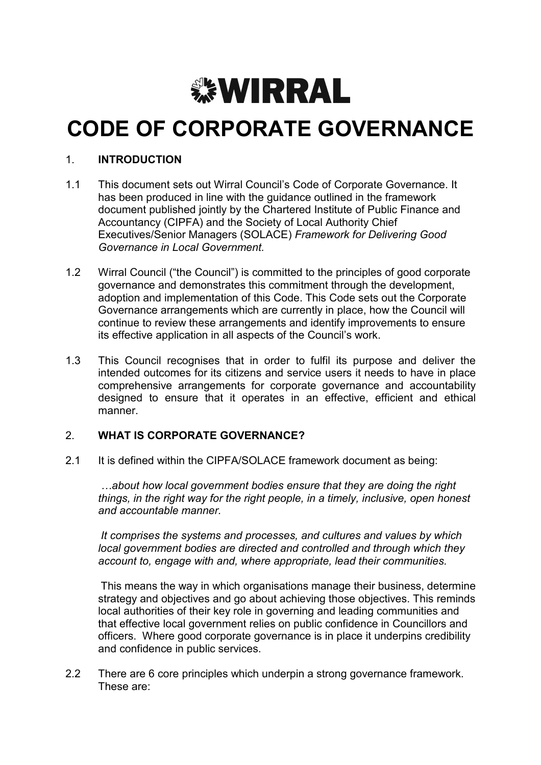

# CODE OF CORPORATE GOVERNANCE

### 1. INTRODUCTION

- 1.1 This document sets out Wirral Council's Code of Corporate Governance. It has been produced in line with the guidance outlined in the framework document published jointly by the Chartered Institute of Public Finance and Accountancy (CIPFA) and the Society of Local Authority Chief Executives/Senior Managers (SOLACE) Framework for Delivering Good Governance in Local Government.
- 1.2 Wirral Council ("the Council") is committed to the principles of good corporate governance and demonstrates this commitment through the development, adoption and implementation of this Code. This Code sets out the Corporate Governance arrangements which are currently in place, how the Council will continue to review these arrangements and identify improvements to ensure its effective application in all aspects of the Council's work.
- 1.3 This Council recognises that in order to fulfil its purpose and deliver the intended outcomes for its citizens and service users it needs to have in place comprehensive arrangements for corporate governance and accountability designed to ensure that it operates in an effective, efficient and ethical manner.

#### 2. WHAT IS CORPORATE GOVERNANCE?

2.1 It is defined within the CIPFA/SOLACE framework document as being:

…about how local government bodies ensure that they are doing the right things, in the right way for the right people, in a timely, inclusive, open honest and accountable manner.

It comprises the systems and processes, and cultures and values by which local government bodies are directed and controlled and through which they account to, engage with and, where appropriate, lead their communities.

This means the way in which organisations manage their business, determine strategy and objectives and go about achieving those objectives. This reminds local authorities of their key role in governing and leading communities and that effective local government relies on public confidence in Councillors and officers. Where good corporate governance is in place it underpins credibility and confidence in public services.

2.2 There are 6 core principles which underpin a strong governance framework. These are: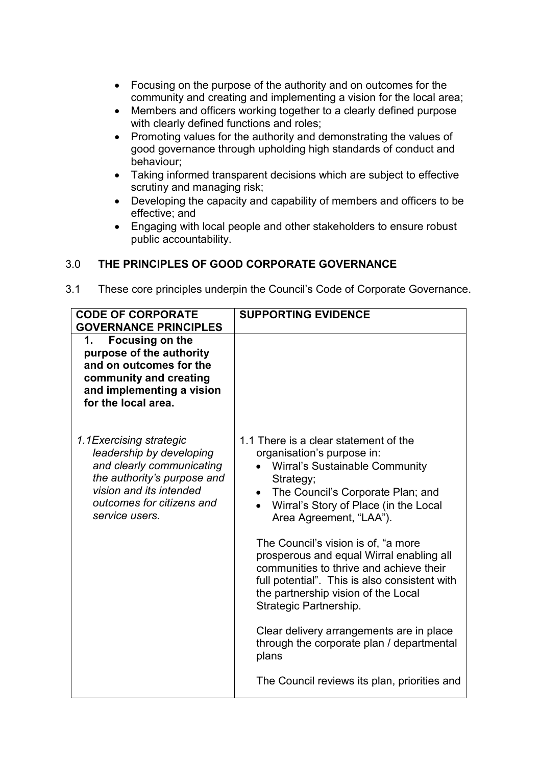- Focusing on the purpose of the authority and on outcomes for the community and creating and implementing a vision for the local area;
- Members and officers working together to a clearly defined purpose with clearly defined functions and roles;
- Promoting values for the authority and demonstrating the values of good governance through upholding high standards of conduct and behaviour;
- Taking informed transparent decisions which are subject to effective scrutiny and managing risk;
- Developing the capacity and capability of members and officers to be effective; and
- Engaging with local people and other stakeholders to ensure robust public accountability.

# 3.0 THE PRINCIPLES OF GOOD CORPORATE GOVERNANCE

3.1 These core principles underpin the Council's Code of Corporate Governance.

| <b>CODE OF CORPORATE</b><br><b>GOVERNANCE PRINCIPLES</b>                                                                                                                                   | <b>SUPPORTING EVIDENCE</b>                                                                                                                                                                                                                                                                                                                                                                                                                                                                                                                                                                                                                              |
|--------------------------------------------------------------------------------------------------------------------------------------------------------------------------------------------|---------------------------------------------------------------------------------------------------------------------------------------------------------------------------------------------------------------------------------------------------------------------------------------------------------------------------------------------------------------------------------------------------------------------------------------------------------------------------------------------------------------------------------------------------------------------------------------------------------------------------------------------------------|
| <b>Focusing on the</b><br>1.<br>purpose of the authority<br>and on outcomes for the<br>community and creating<br>and implementing a vision<br>for the local area.                          |                                                                                                                                                                                                                                                                                                                                                                                                                                                                                                                                                                                                                                                         |
| 1.1 Exercising strategic<br>leadership by developing<br>and clearly communicating<br>the authority's purpose and<br>vision and its intended<br>outcomes for citizens and<br>service users. | 1.1 There is a clear statement of the<br>organisation's purpose in:<br>Wirral's Sustainable Community<br>Strategy;<br>The Council's Corporate Plan; and<br>$\bullet$<br>Wirral's Story of Place (in the Local<br>$\bullet$<br>Area Agreement, "LAA").<br>The Council's vision is of, "a more<br>prosperous and equal Wirral enabling all<br>communities to thrive and achieve their<br>full potential". This is also consistent with<br>the partnership vision of the Local<br>Strategic Partnership.<br>Clear delivery arrangements are in place<br>through the corporate plan / departmental<br>plans<br>The Council reviews its plan, priorities and |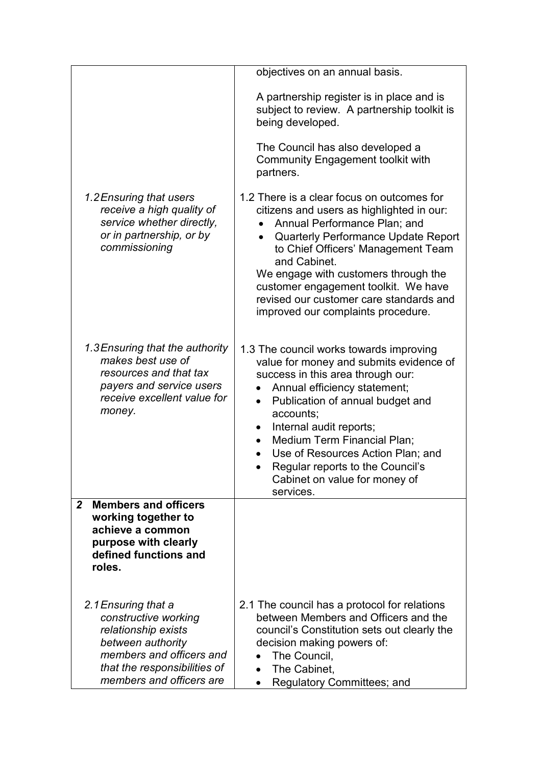|                                                                                                                                                                                 | objectives on an annual basis.                                                                                                                                                                                                                                                                                                                                                                                                  |
|---------------------------------------------------------------------------------------------------------------------------------------------------------------------------------|---------------------------------------------------------------------------------------------------------------------------------------------------------------------------------------------------------------------------------------------------------------------------------------------------------------------------------------------------------------------------------------------------------------------------------|
|                                                                                                                                                                                 | A partnership register is in place and is<br>subject to review. A partnership toolkit is<br>being developed.                                                                                                                                                                                                                                                                                                                    |
|                                                                                                                                                                                 | The Council has also developed a<br>Community Engagement toolkit with<br>partners.                                                                                                                                                                                                                                                                                                                                              |
| 1.2 Ensuring that users<br>receive a high quality of<br>service whether directly,<br>or in partnership, or by<br>commissioning                                                  | 1.2 There is a clear focus on outcomes for<br>citizens and users as highlighted in our:<br>Annual Performance Plan; and<br>Quarterly Performance Update Report<br>to Chief Officers' Management Team<br>and Cabinet.<br>We engage with customers through the<br>customer engagement toolkit. We have<br>revised our customer care standards and<br>improved our complaints procedure.                                           |
| 1.3 Ensuring that the authority<br>makes best use of<br>resources and that tax<br>payers and service users<br>receive excellent value for<br>money.                             | 1.3 The council works towards improving<br>value for money and submits evidence of<br>success in this area through our:<br>Annual efficiency statement;<br>Publication of annual budget and<br>$\bullet$<br>accounts;<br>Internal audit reports;<br>٠<br><b>Medium Term Financial Plan;</b><br>$\bullet$<br>Use of Resources Action Plan; and<br>Regular reports to the Council's<br>Cabinet on value for money of<br>services. |
| <b>Members and officers</b><br>$\overline{2}$<br>working together to<br>achieve a common<br>purpose with clearly<br>defined functions and<br>roles.                             |                                                                                                                                                                                                                                                                                                                                                                                                                                 |
| 2.1 Ensuring that a<br>constructive working<br>relationship exists<br>between authority<br>members and officers and<br>that the responsibilities of<br>members and officers are | 2.1 The council has a protocol for relations<br>between Members and Officers and the<br>council's Constitution sets out clearly the<br>decision making powers of:<br>The Council,<br>The Cabinet,<br>$\bullet$<br>Regulatory Committees; and                                                                                                                                                                                    |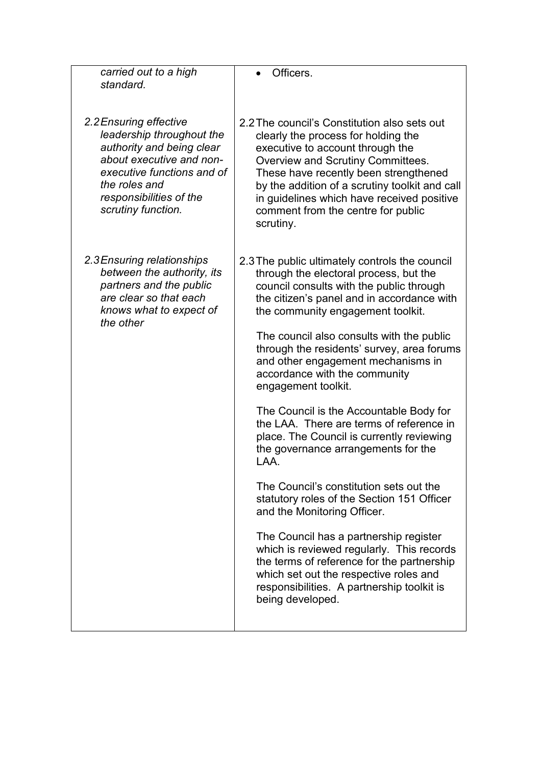| carried out to a high<br>standard.                                                                                                                                                                           | Officers.                                                                                                                                                                                                                                                                                                                                                                                                                                                                                                                                                                                                                                                                                                                                                                                                                                                                                                                                                                    |
|--------------------------------------------------------------------------------------------------------------------------------------------------------------------------------------------------------------|------------------------------------------------------------------------------------------------------------------------------------------------------------------------------------------------------------------------------------------------------------------------------------------------------------------------------------------------------------------------------------------------------------------------------------------------------------------------------------------------------------------------------------------------------------------------------------------------------------------------------------------------------------------------------------------------------------------------------------------------------------------------------------------------------------------------------------------------------------------------------------------------------------------------------------------------------------------------------|
| 2.2 Ensuring effective<br>leadership throughout the<br>authority and being clear<br>about executive and non-<br>executive functions and of<br>the roles and<br>responsibilities of the<br>scrutiny function. | 2.2 The council's Constitution also sets out<br>clearly the process for holding the<br>executive to account through the<br>Overview and Scrutiny Committees.<br>These have recently been strengthened<br>by the addition of a scrutiny toolkit and call<br>in guidelines which have received positive<br>comment from the centre for public<br>scrutiny.                                                                                                                                                                                                                                                                                                                                                                                                                                                                                                                                                                                                                     |
| 2.3 Ensuring relationships<br>between the authority, its<br>partners and the public<br>are clear so that each<br>knows what to expect of<br>the other                                                        | 2.3 The public ultimately controls the council<br>through the electoral process, but the<br>council consults with the public through<br>the citizen's panel and in accordance with<br>the community engagement toolkit.<br>The council also consults with the public<br>through the residents' survey, area forums<br>and other engagement mechanisms in<br>accordance with the community<br>engagement toolkit.<br>The Council is the Accountable Body for<br>the LAA. There are terms of reference in<br>place. The Council is currently reviewing<br>the governance arrangements for the<br>LAA.<br>The Council's constitution sets out the<br>statutory roles of the Section 151 Officer<br>and the Monitoring Officer.<br>The Council has a partnership register<br>which is reviewed regularly. This records<br>the terms of reference for the partnership<br>which set out the respective roles and<br>responsibilities. A partnership toolkit is<br>being developed. |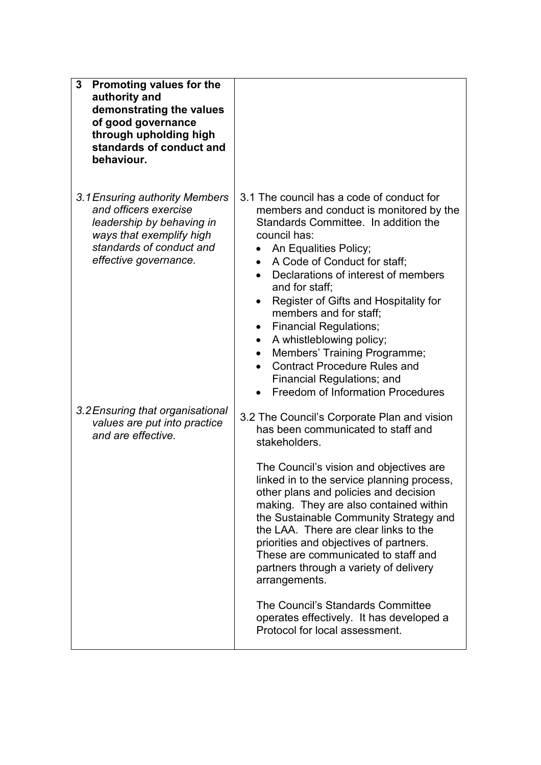| 3<br>Promoting values for the<br>authority and<br>demonstrating the values<br>of good governance<br>through upholding high<br>standards of conduct and<br>behaviour.  |                                                                                                                                                                                                                                                                                                                                                                                                                                                                                                                                                                                                                                                         |
|-----------------------------------------------------------------------------------------------------------------------------------------------------------------------|---------------------------------------------------------------------------------------------------------------------------------------------------------------------------------------------------------------------------------------------------------------------------------------------------------------------------------------------------------------------------------------------------------------------------------------------------------------------------------------------------------------------------------------------------------------------------------------------------------------------------------------------------------|
| 3.1 Ensuring authority Members<br>and officers exercise<br>leadership by behaving in<br>ways that exemplify high<br>standards of conduct and<br>effective governance. | 3.1 The council has a code of conduct for<br>members and conduct is monitored by the<br>Standards Committee. In addition the<br>council has:<br>An Equalities Policy;<br>$\bullet$<br>A Code of Conduct for staff:<br>$\bullet$<br>Declarations of interest of members<br>$\bullet$<br>and for staff;<br>Register of Gifts and Hospitality for<br>$\bullet$<br>members and for staff;<br><b>Financial Regulations;</b><br>$\bullet$<br>A whistleblowing policy;<br>$\bullet$<br>Members' Training Programme;<br>$\bullet$<br><b>Contract Procedure Rules and</b><br>$\bullet$<br>Financial Regulations; and<br><b>Freedom of Information Procedures</b> |
| 3.2 Ensuring that organisational<br>values are put into practice<br>and are effective.                                                                                | 3.2 The Council's Corporate Plan and vision<br>has been communicated to staff and<br>stakeholders.                                                                                                                                                                                                                                                                                                                                                                                                                                                                                                                                                      |
|                                                                                                                                                                       | The Council's vision and objectives are<br>linked in to the service planning process<br>other plans and policies and decision<br>making. They are also contained within<br>the Sustainable Community Strategy and<br>the LAA. There are clear links to the<br>priorities and objectives of partners.<br>These are communicated to staff and<br>partners through a variety of delivery<br>arrangements.                                                                                                                                                                                                                                                  |
|                                                                                                                                                                       | The Council's Standards Committee<br>operates effectively. It has developed a<br>Protocol for local assessment.                                                                                                                                                                                                                                                                                                                                                                                                                                                                                                                                         |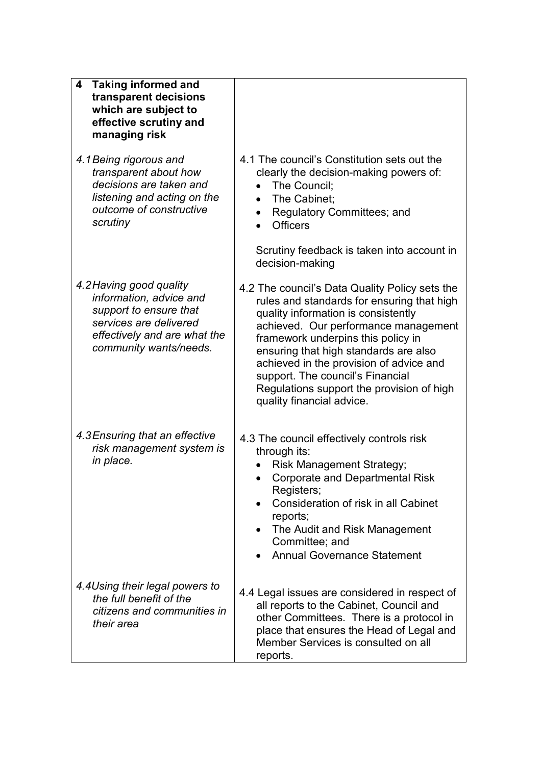| <b>Taking informed and</b><br>4<br>transparent decisions<br>which are subject to<br>effective scrutiny and<br>managing risk                                      |                                                                                                                                                                                                                                                                                                                                                                                                                                        |
|------------------------------------------------------------------------------------------------------------------------------------------------------------------|----------------------------------------------------------------------------------------------------------------------------------------------------------------------------------------------------------------------------------------------------------------------------------------------------------------------------------------------------------------------------------------------------------------------------------------|
| 4.1 Being rigorous and<br>transparent about how<br>decisions are taken and<br>listening and acting on the<br>outcome of constructive<br>scrutiny                 | 4.1 The council's Constitution sets out the<br>clearly the decision-making powers of:<br>The Council:<br>The Cabinet;<br>$\bullet$<br>Regulatory Committees; and<br>$\bullet$<br><b>Officers</b><br>Scrutiny feedback is taken into account in                                                                                                                                                                                         |
| 4.2 Having good quality<br>information, advice and<br>support to ensure that<br>services are delivered<br>effectively and are what the<br>community wants/needs. | decision-making<br>4.2 The council's Data Quality Policy sets the<br>rules and standards for ensuring that high<br>quality information is consistently<br>achieved. Our performance management<br>framework underpins this policy in<br>ensuring that high standards are also<br>achieved in the provision of advice and<br>support. The council's Financial<br>Regulations support the provision of high<br>quality financial advice. |
| 4.3 Ensuring that an effective<br>risk management system is<br>in place.                                                                                         | 4.3 The council effectively controls risk<br>through its:<br><b>Risk Management Strategy;</b><br><b>Corporate and Departmental Risk</b><br>Registers;<br>Consideration of risk in all Cabinet<br>reports;<br>The Audit and Risk Management<br>Committee; and<br><b>Annual Governance Statement</b>                                                                                                                                     |
| 4.4Using their legal powers to<br>the full benefit of the<br>citizens and communities in<br>their area                                                           | 4.4 Legal issues are considered in respect of<br>all reports to the Cabinet, Council and<br>other Committees. There is a protocol in<br>place that ensures the Head of Legal and<br>Member Services is consulted on all<br>reports.                                                                                                                                                                                                    |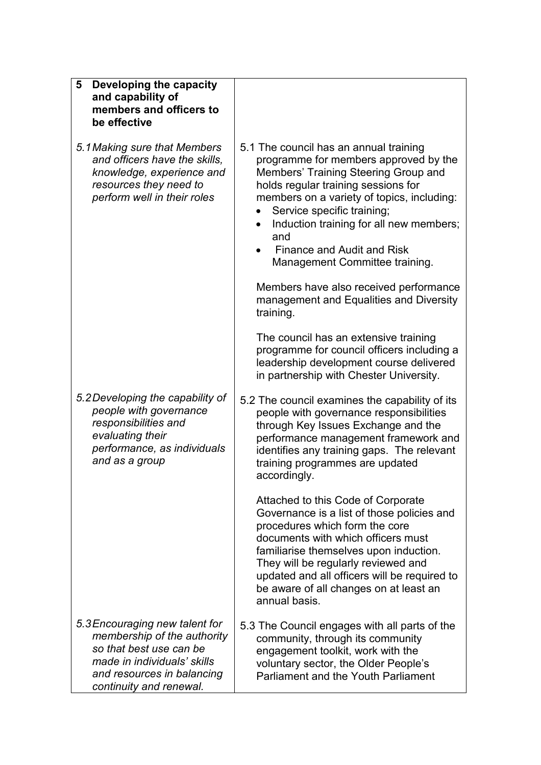| Developing the capacity<br>5<br>and capability of<br>members and officers to<br>be effective                                                                                     |                                                                                                                                                                                                                                                                                                                                                              |
|----------------------------------------------------------------------------------------------------------------------------------------------------------------------------------|--------------------------------------------------------------------------------------------------------------------------------------------------------------------------------------------------------------------------------------------------------------------------------------------------------------------------------------------------------------|
| 5.1 Making sure that Members<br>and officers have the skills,<br>knowledge, experience and<br>resources they need to<br>perform well in their roles                              | 5.1 The council has an annual training<br>programme for members approved by the<br>Members' Training Steering Group and<br>holds regular training sessions for<br>members on a variety of topics, including:<br>Service specific training;<br>Induction training for all new members;<br>and<br>Finance and Audit and Risk<br>Management Committee training. |
|                                                                                                                                                                                  | Members have also received performance<br>management and Equalities and Diversity<br>training.                                                                                                                                                                                                                                                               |
|                                                                                                                                                                                  | The council has an extensive training<br>programme for council officers including a<br>leadership development course delivered<br>in partnership with Chester University.                                                                                                                                                                                    |
| 5.2 Developing the capability of<br>people with governance<br>responsibilities and<br>evaluating their<br>performance, as individuals<br>and as a group                          | 5.2 The council examines the capability of its<br>people with governance responsibilities<br>through Key Issues Exchange and the<br>performance management framework and<br>identifies any training gaps. The relevant<br>training programmes are updated<br>accordingly.                                                                                    |
|                                                                                                                                                                                  | Attached to this Code of Corporate<br>Governance is a list of those policies and<br>procedures which form the core<br>documents with which officers must<br>familiarise themselves upon induction.<br>They will be regularly reviewed and<br>updated and all officers will be required to<br>be aware of all changes on at least an<br>annual basis.         |
| 5.3 Encouraging new talent for<br>membership of the authority<br>so that best use can be<br>made in individuals' skills<br>and resources in balancing<br>continuity and renewal. | 5.3 The Council engages with all parts of the<br>community, through its community<br>engagement toolkit, work with the<br>voluntary sector, the Older People's<br><b>Parliament and the Youth Parliament</b>                                                                                                                                                 |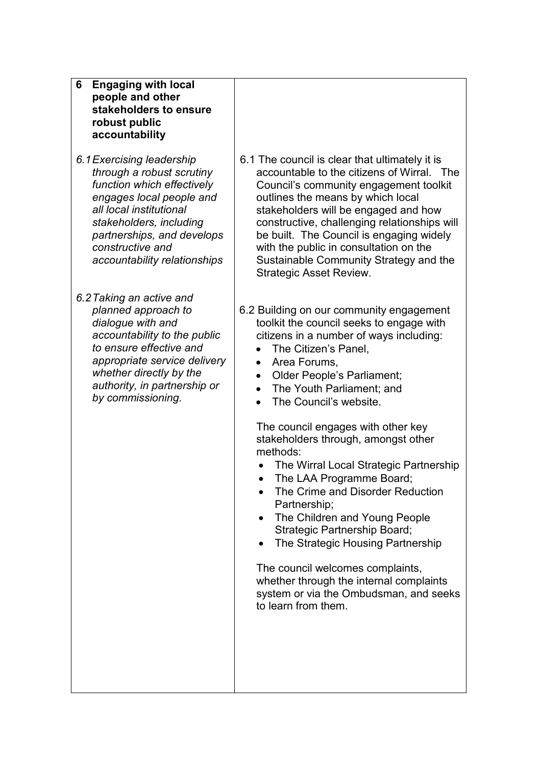| 6<br><b>Engaging with local</b><br>people and other<br>stakeholders to ensure<br>robust public<br>accountability                                                                                                                                         |                                                                                                                                                                                                                                                                                                                                                                                                                                                                                                                                                                                                                                                                                                                                                                                           |
|----------------------------------------------------------------------------------------------------------------------------------------------------------------------------------------------------------------------------------------------------------|-------------------------------------------------------------------------------------------------------------------------------------------------------------------------------------------------------------------------------------------------------------------------------------------------------------------------------------------------------------------------------------------------------------------------------------------------------------------------------------------------------------------------------------------------------------------------------------------------------------------------------------------------------------------------------------------------------------------------------------------------------------------------------------------|
| 6.1 Exercising leadership<br>through a robust scrutiny<br>function which effectively<br>engages local people and<br>all local institutional<br>stakeholders, including<br>partnerships, and develops<br>constructive and<br>accountability relationships | 6.1 The council is clear that ultimately it is<br>accountable to the citizens of Wirral. The<br>Council's community engagement toolkit<br>outlines the means by which local<br>stakeholders will be engaged and how<br>constructive, challenging relationships will<br>be built. The Council is engaging widely<br>with the public in consultation on the<br>Sustainable Community Strategy and the<br><b>Strategic Asset Review.</b>                                                                                                                                                                                                                                                                                                                                                     |
| 6.2 Taking an active and<br>planned approach to<br>dialogue with and<br>accountability to the public<br>to ensure effective and<br>appropriate service delivery<br>whether directly by the<br>authority, in partnership or<br>by commissioning.          | 6.2 Building on our community engagement<br>toolkit the council seeks to engage with<br>citizens in a number of ways including:<br>The Citizen's Panel,<br>$\bullet$<br>Area Forums,<br>$\bullet$<br>Older People's Parliament;<br>$\bullet$<br>The Youth Parliament; and<br>$\bullet$<br>The Council's website.<br>The council engages with other key<br>stakeholders through, amongst other<br>methods:<br>The Wirral Local Strategic Partnership<br>The LAA Programme Board;<br>The Crime and Disorder Reduction<br>Partnership;<br>The Children and Young People<br>Strategic Partnership Board;<br>The Strategic Housing Partnership<br>The council welcomes complaints,<br>whether through the internal complaints<br>system or via the Ombudsman, and seeks<br>to learn from them. |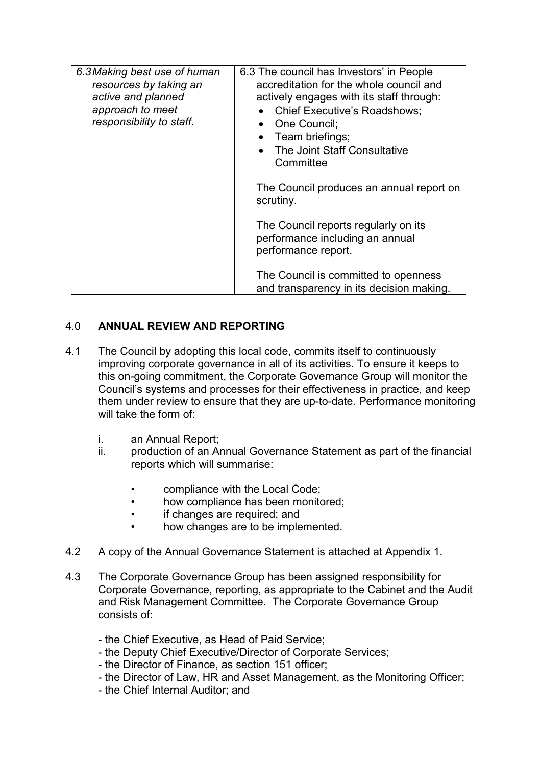| 6.3 Making best use of human<br>resources by taking an<br>active and planned<br>approach to meet<br>responsibility to staff. | 6.3 The council has Investors' in People<br>accreditation for the whole council and<br>actively engages with its staff through:<br><b>Chief Executive's Roadshows;</b><br>One Council:<br>Team briefings;<br>• The Joint Staff Consultative<br>Committee |
|------------------------------------------------------------------------------------------------------------------------------|----------------------------------------------------------------------------------------------------------------------------------------------------------------------------------------------------------------------------------------------------------|
|                                                                                                                              | The Council produces an annual report on<br>scrutiny.                                                                                                                                                                                                    |
|                                                                                                                              | The Council reports regularly on its<br>performance including an annual<br>performance report.                                                                                                                                                           |
|                                                                                                                              | The Council is committed to openness<br>and transparency in its decision making.                                                                                                                                                                         |

## 4.0 ANNUAL REVIEW AND REPORTING

- 4.1 The Council by adopting this local code, commits itself to continuously improving corporate governance in all of its activities. To ensure it keeps to this on-going commitment, the Corporate Governance Group will monitor the Council's systems and processes for their effectiveness in practice, and keep them under review to ensure that they are up-to-date. Performance monitoring will take the form of
	- i. an Annual Report;
	- ii. production of an Annual Governance Statement as part of the financial reports which will summarise:
		- compliance with the Local Code;
		- how compliance has been monitored;
		- if changes are required; and
		- how changes are to be implemented.
- 4.2 A copy of the Annual Governance Statement is attached at Appendix 1.
- 4.3 The Corporate Governance Group has been assigned responsibility for Corporate Governance, reporting, as appropriate to the Cabinet and the Audit and Risk Management Committee. The Corporate Governance Group consists of:
	- the Chief Executive, as Head of Paid Service;
	- the Deputy Chief Executive/Director of Corporate Services;
	- the Director of Finance, as section 151 officer;
	- the Director of Law, HR and Asset Management, as the Monitoring Officer;
	- the Chief Internal Auditor; and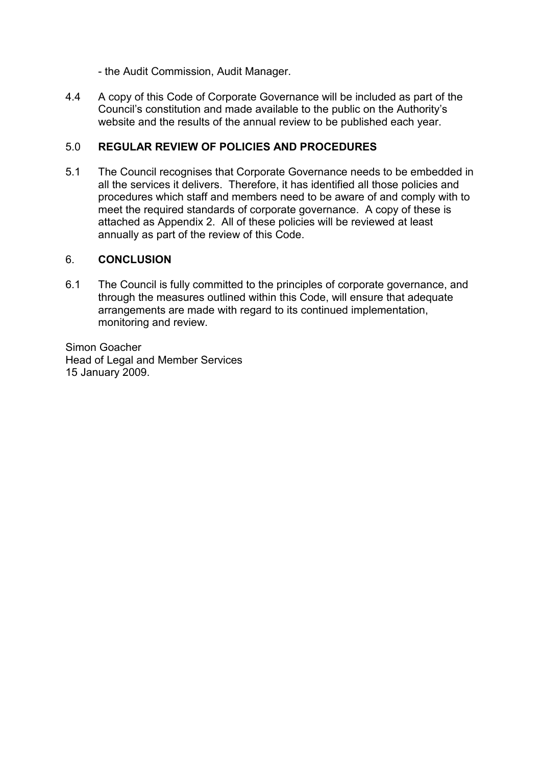- the Audit Commission, Audit Manager.

4.4 A copy of this Code of Corporate Governance will be included as part of the Council's constitution and made available to the public on the Authority's website and the results of the annual review to be published each year.

#### 5.0 REGULAR REVIEW OF POLICIES AND PROCEDURES

5.1 The Council recognises that Corporate Governance needs to be embedded in all the services it delivers. Therefore, it has identified all those policies and procedures which staff and members need to be aware of and comply with to meet the required standards of corporate governance. A copy of these is attached as Appendix 2. All of these policies will be reviewed at least annually as part of the review of this Code.

#### 6. CONCLUSION

6.1 The Council is fully committed to the principles of corporate governance, and through the measures outlined within this Code, will ensure that adequate arrangements are made with regard to its continued implementation, monitoring and review.

Simon Goacher Head of Legal and Member Services 15 January 2009.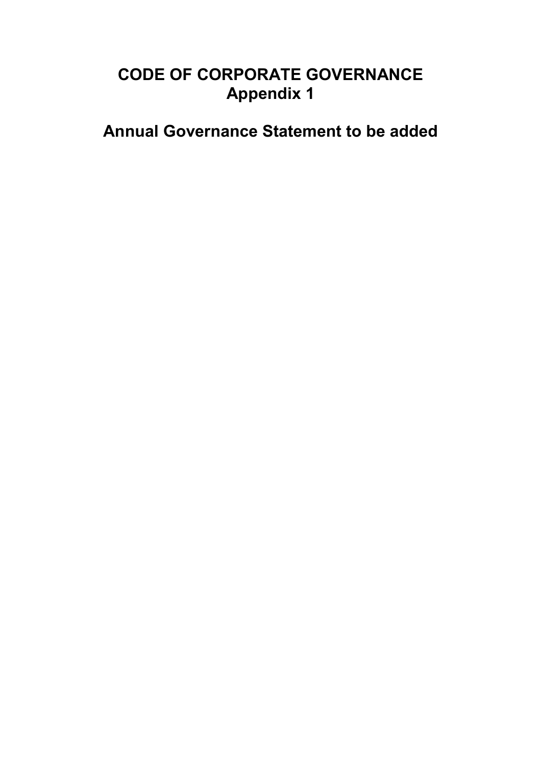# CODE OF CORPORATE GOVERNANCE Appendix 1

Annual Governance Statement to be added